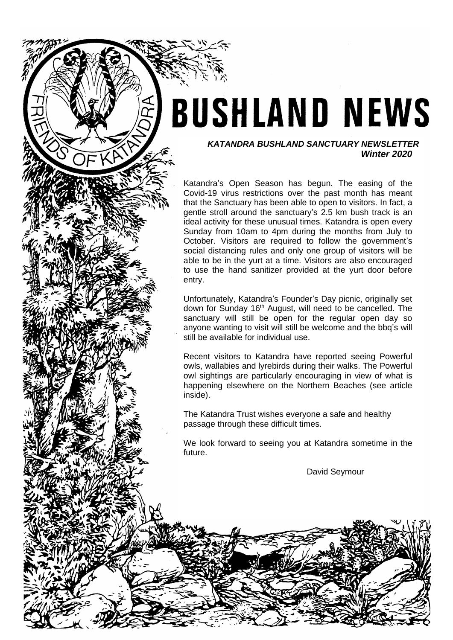# **BUSHLAND NEWS**

*KATANDRA BUSHLAND SANCTUARY NEWSLETTER Winter 2020*

Katandra's Open Season has begun. The easing of the Covid-19 virus restrictions over the past month has meant that the Sanctuary has been able to open to visitors. In fact, a gentle stroll around the sanctuary's 2.5 km bush track is an ideal activity for these unusual times. Katandra is open every Sunday from 10am to 4pm during the months from July to October. Visitors are required to follow the government's social distancing rules and only one group of visitors will be able to be in the yurt at a time. Visitors are also encouraged to use the hand sanitizer provided at the yurt door before entry.

Unfortunately, Katandra's Founder's Day picnic, originally set down for Sunday 16<sup>th</sup> August, will need to be cancelled. The sanctuary will still be open for the regular open day so anyone wanting to visit will still be welcome and the bbq's will still be available for individual use.

Recent visitors to Katandra have reported seeing Powerful owls, wallabies and lyrebirds during their walks. The Powerful owl sightings are particularly encouraging in view of what is happening elsewhere on the Northern Beaches (see article inside).

The Katandra Trust wishes everyone a safe and healthy passage through these difficult times.

We look forward to seeing you at Katandra sometime in the future.

David Seymour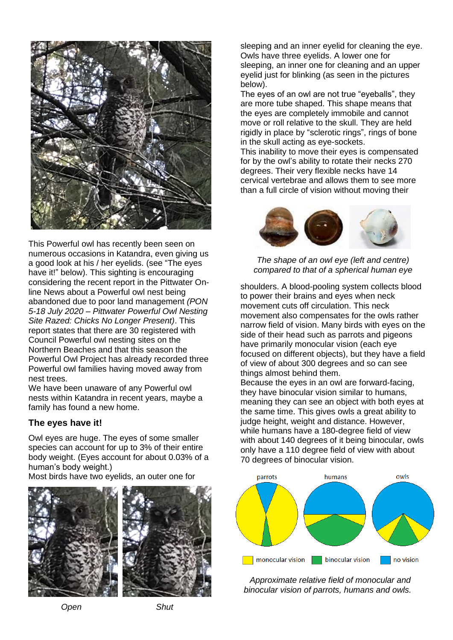

This Powerful owl has recently been seen on numerous occasions in Katandra, even giving us a good look at his / her eyelids. (see "The eyes have it!" below). This sighting is encouraging considering the recent report in the Pittwater Online News about a Powerful owl nest being abandoned due to poor land management *(PON 5-18 July 2020 – Pittwater Powerful Owl Nesting Site Razed: Chicks No Longer Present)*. This report states that there are 30 registered with Council Powerful owl nesting sites on the Northern Beaches and that this season the Powerful Owl Project has already recorded three Powerful owl families having moved away from nest trees.

We have been unaware of any Powerful owl nests within Katandra in recent years, maybe a family has found a new home.

# **The eyes have it!**

Owl eyes are huge. The eyes of some smaller species can account for up to 3% of their entire body weight. (Eyes account for about 0.03% of a human's body weight.)

Most birds have two eyelids, an outer one for







sleeping and an inner eyelid for cleaning the eye. Owls have three eyelids. A lower one for sleeping, an inner one for cleaning and an upper eyelid just for blinking (as seen in the pictures below).

The eyes of an owl are not true "eyeballs", they are more tube shaped. This shape means that the eyes are completely immobile and cannot move or roll relative to the skull. They are held rigidly in place by "sclerotic rings", rings of bone in the skull acting as eye-sockets.

This inability to move their eyes is compensated for by the owl's ability to rotate their necks 270 degrees. Their very flexible necks have 14 cervical vertebrae and allows them to see more than a full circle of vision without moving their



*The shape of an owl eye (left and centre) compared to that of a spherical human eye*

shoulders. A blood-pooling system collects blood to power their brains and eyes when neck movement cuts off circulation. This neck movement also compensates for the owls rather narrow field of vision. Many birds with eyes on the side of their head such as parrots and pigeons have primarily monocular vision (each eye focused on different objects), but they have a field of view of about 300 degrees and so can see things almost behind them.

Because the eyes in an owl are forward-facing, they have binocular vision similar to humans, meaning they can see an object with both eyes at the same time. This gives owls a great ability to judge height, weight and distance. However, while humans have a 180-degree field of view with about 140 degrees of it being binocular, owls only have a 110 degree field of view with about 70 degrees of binocular vision.



*Approximate relative field of monocular and binocular vision of parrots, humans and owls.*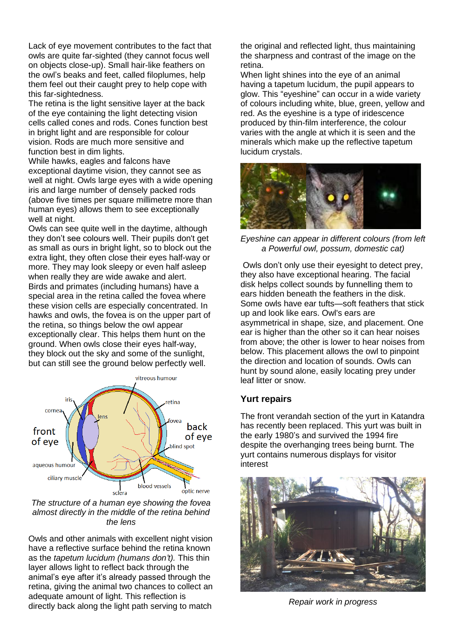Lack of eye movement contributes to the fact that owls are quite far-sighted (they cannot focus well on objects close-up). Small hair-like feathers on the owl's beaks and feet, called filoplumes, help them feel out their caught prey to help cope with this far-sightedness.

The retina is the light sensitive layer at the back of the eye containing the light detecting vision cells called cones and rods. Cones function best in bright light and are responsible for colour vision. Rods are much more sensitive and function best in dim lights.

While hawks, eagles and falcons have exceptional daytime vision, they cannot see as well at night. Owls large eyes with a wide opening iris and large number of densely packed rods (above five times per square millimetre more than human eyes) allows them to see exceptionally well at night.

Owls can see quite well in the daytime, although they don't see colours well. Their pupils don't get as small as ours in bright light, so to block out the extra light, they often close their eyes half-way or more. They may look sleepy or even half asleep when really they are wide awake and alert. Birds and primates (including humans) have a special area in the retina called the fovea where these vision cells are especially concentrated. In hawks and owls, the fovea is on the upper part of the retina, so things below the owl appear exceptionally clear. This helps them hunt on the ground. When owls close their eyes half-way, they block out the sky and some of the sunlight, but can still see the ground below perfectly well.



*The structure of a human eye showing the fovea almost directly in the middle of the retina behind the lens*

Owls and other animals with excellent night vision have a reflective surface behind the retina known as the *tapetum lucidum (humans don't).* This thin layer allows light to reflect back through the animal's eye after it's already passed through the retina, giving the animal two chances to collect an adequate amount of light. This reflection is directly back along the light path serving to match

the original and reflected light, thus maintaining the sharpness and contrast of the image on the retina.

When light shines into the eye of an animal having a tapetum lucidum, the [pupil](https://en.wikipedia.org/wiki/Pupil) appears to glow. This "eyeshine" can occur in a wide variety of [colours](https://en.wikipedia.org/wiki/Color) including white, blue, green, yellow and red. As the eyeshine is a type of iridescence produced by thin-film interference, the colour varies with the angle at which it is seen and the minerals which make up the reflective tapetum lucidum crystals.



*Eyeshine can appear in different colours (from left a Powerful owl, possum, domestic cat)*

Owls don't only use their eyesight to detect prey, they also have exceptional hearing. The facial disk helps collect sounds by funnelling them to ears hidden beneath the feathers in the disk. Some owls have ear tufts—soft feathers that stick up and look like ears. Owl's ears are asymmetrical in shape, size, and placement. One ear is higher than the other so it can hear noises from above; the other is lower to hear noises from below. This placement allows the owl to pinpoint the direction and location of sounds. Owls can hunt by sound alone, easily locating prey under leaf litter or snow.

## **Yurt repairs**

The front verandah section of the yurt in Katandra has recently been replaced. This yurt was built in the early 1980's and survived the 1994 fire despite the overhanging trees being burnt. The yurt contains numerous displays for visitor interest



*Repair work in progress*